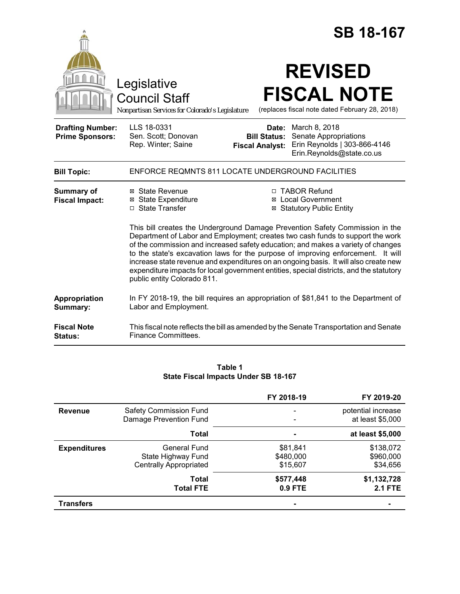|                                                   |                                                                                                                                                                                                                                                                                                                                                                                                                                                                                                                                                                                                                                                                                                           | <b>SB 18-167</b>                                                                                                                                                  |  |
|---------------------------------------------------|-----------------------------------------------------------------------------------------------------------------------------------------------------------------------------------------------------------------------------------------------------------------------------------------------------------------------------------------------------------------------------------------------------------------------------------------------------------------------------------------------------------------------------------------------------------------------------------------------------------------------------------------------------------------------------------------------------------|-------------------------------------------------------------------------------------------------------------------------------------------------------------------|--|
|                                                   | Legislative<br><b>Council Staff</b><br>Nonpartisan Services for Colorado's Legislature                                                                                                                                                                                                                                                                                                                                                                                                                                                                                                                                                                                                                    | <b>REVISED</b><br><b>FISCAL NOTE</b><br>(replaces fiscal note dated February 28, 2018)                                                                            |  |
| <b>Drafting Number:</b><br><b>Prime Sponsors:</b> | LLS 18-0331<br>Sen. Scott; Donovan<br>Rep. Winter; Saine                                                                                                                                                                                                                                                                                                                                                                                                                                                                                                                                                                                                                                                  | <b>Date:</b> March 8, 2018<br>Senate Appropriations<br><b>Bill Status:</b><br>Erin Reynolds   303-866-4146<br><b>Fiscal Analyst:</b><br>Erin.Reynolds@state.co.us |  |
| <b>Bill Topic:</b>                                |                                                                                                                                                                                                                                                                                                                                                                                                                                                                                                                                                                                                                                                                                                           | ENFORCE REQMNTS 811 LOCATE UNDERGROUND FACILITIES                                                                                                                 |  |
| Summary of<br><b>Fiscal Impact:</b>               | ⊠ State Revenue<br>□ TABOR Refund<br>⊠ State Expenditure<br><b>⊠</b> Local Government<br>□ State Transfer<br><b>⊠ Statutory Public Entity</b><br>This bill creates the Underground Damage Prevention Safety Commission in the<br>Department of Labor and Employment; creates two cash funds to support the work<br>of the commission and increased safety education; and makes a variety of changes<br>to the state's excavation laws for the purpose of improving enforcement. It will<br>increase state revenue and expenditures on an ongoing basis. It will also create new<br>expenditure impacts for local government entities, special districts, and the statutory<br>public entity Colorado 811. |                                                                                                                                                                   |  |
| Appropriation<br>Summary:                         | Labor and Employment.                                                                                                                                                                                                                                                                                                                                                                                                                                                                                                                                                                                                                                                                                     | In FY 2018-19, the bill requires an appropriation of \$81,841 to the Department of                                                                                |  |
| <b>Fiscal Note</b><br>Status:                     | Finance Committees.                                                                                                                                                                                                                                                                                                                                                                                                                                                                                                                                                                                                                                                                                       | This fiscal note reflects the bill as amended by the Senate Transportation and Senate                                                                             |  |

## **Table 1 State Fiscal Impacts Under SB 18-167**

|                     |                                                                            | FY 2018-19                        | FY 2019-20                             |
|---------------------|----------------------------------------------------------------------------|-----------------------------------|----------------------------------------|
| <b>Revenue</b>      | <b>Safety Commission Fund</b><br>Damage Prevention Fund                    |                                   | potential increase<br>at least \$5,000 |
|                     | Total                                                                      |                                   | at least \$5,000                       |
| <b>Expenditures</b> | <b>General Fund</b><br>State Highway Fund<br><b>Centrally Appropriated</b> | \$81,841<br>\$480,000<br>\$15,607 | \$138,072<br>\$960,000<br>\$34,656     |
|                     | Total<br><b>Total FTE</b>                                                  | \$577,448<br>$0.9$ FTE            | \$1,132,728<br><b>2.1 FTE</b>          |
| <b>Transfers</b>    |                                                                            |                                   |                                        |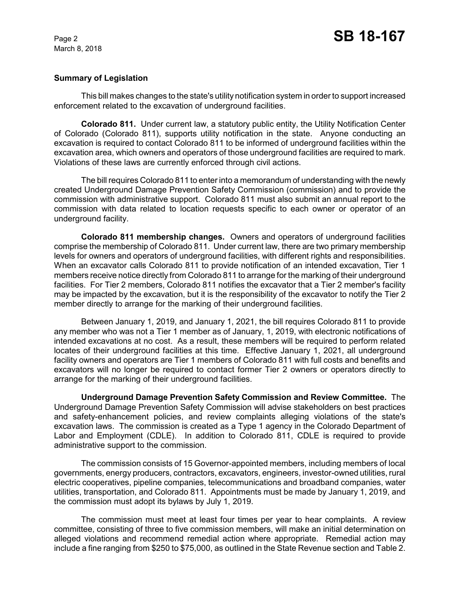## **Summary of Legislation**

This bill makes changes to the state's utility notification system in order to support increased enforcement related to the excavation of underground facilities.

**Colorado 811.** Under current law, a statutory public entity, the Utility Notification Center of Colorado (Colorado 811), supports utility notification in the state. Anyone conducting an excavation is required to contact Colorado 811 to be informed of underground facilities within the excavation area, which owners and operators of those underground facilities are required to mark. Violations of these laws are currently enforced through civil actions.

The bill requires Colorado 811 to enter into a memorandum of understanding with the newly created Underground Damage Prevention Safety Commission (commission) and to provide the commission with administrative support. Colorado 811 must also submit an annual report to the commission with data related to location requests specific to each owner or operator of an underground facility.

**Colorado 811 membership changes.** Owners and operators of underground facilities comprise the membership of Colorado 811. Under current law, there are two primary membership levels for owners and operators of underground facilities, with different rights and responsibilities. When an excavator calls Colorado 811 to provide notification of an intended excavation, Tier 1 members receive notice directly from Colorado 811 to arrange for the marking of their underground facilities. For Tier 2 members, Colorado 811 notifies the excavator that a Tier 2 member's facility may be impacted by the excavation, but it is the responsibility of the excavator to notify the Tier 2 member directly to arrange for the marking of their underground facilities.

Between January 1, 2019, and January 1, 2021, the bill requires Colorado 811 to provide any member who was not a Tier 1 member as of January, 1, 2019, with electronic notifications of intended excavations at no cost. As a result, these members will be required to perform related locates of their underground facilities at this time. Effective January 1, 2021, all underground facility owners and operators are Tier 1 members of Colorado 811 with full costs and benefits and excavators will no longer be required to contact former Tier 2 owners or operators directly to arrange for the marking of their underground facilities.

**Underground Damage Prevention Safety Commission and Review Committee.** The Underground Damage Prevention Safety Commission will advise stakeholders on best practices and safety-enhancement policies, and review complaints alleging violations of the state's excavation laws. The commission is created as a Type 1 agency in the Colorado Department of Labor and Employment (CDLE). In addition to Colorado 811, CDLE is required to provide administrative support to the commission.

The commission consists of 15 Governor-appointed members, including members of local governments, energy producers, contractors, excavators, engineers, investor-owned utilities, rural electric cooperatives, pipeline companies, telecommunications and broadband companies, water utilities, transportation, and Colorado 811. Appointments must be made by January 1, 2019, and the commission must adopt its bylaws by July 1, 2019.

The commission must meet at least four times per year to hear complaints. A review committee, consisting of three to five commission members, will make an initial determination on alleged violations and recommend remedial action where appropriate. Remedial action may include a fine ranging from \$250 to \$75,000, as outlined in the State Revenue section and Table 2.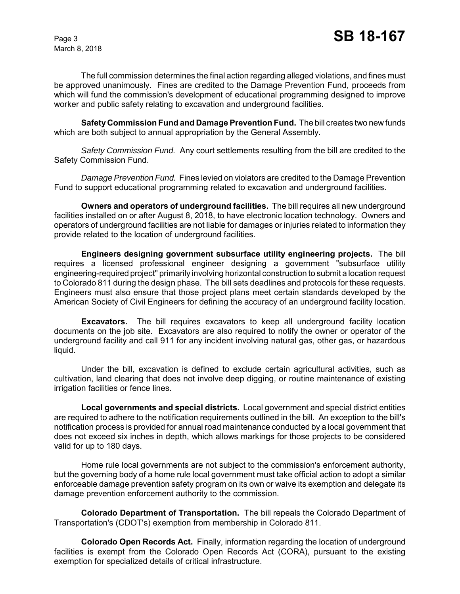The full commission determines the final action regarding alleged violations, and fines must be approved unanimously. Fines are credited to the Damage Prevention Fund, proceeds from which will fund the commission's development of educational programming designed to improve worker and public safety relating to excavation and underground facilities.

**Safety Commission Fund and Damage Prevention Fund.** The bill creates two new funds which are both subject to annual appropriation by the General Assembly.

*Safety Commission Fund.* Any court settlements resulting from the bill are credited to the Safety Commission Fund.

*Damage Prevention Fund.* Fines levied on violators are credited to the Damage Prevention Fund to support educational programming related to excavation and underground facilities.

**Owners and operators of underground facilities.** The bill requires all new underground facilities installed on or after August 8, 2018, to have electronic location technology. Owners and operators of underground facilities are not liable for damages or injuries related to information they provide related to the location of underground facilities.

**Engineers designing government subsurface utility engineering projects.** The bill requires a licensed professional engineer designing a government "subsurface utility engineering-required project" primarily involving horizontal construction to submit a location request to Colorado 811 during the design phase. The bill sets deadlines and protocols for these requests. Engineers must also ensure that those project plans meet certain standards developed by the American Society of Civil Engineers for defining the accuracy of an underground facility location.

**Excavators.** The bill requires excavators to keep all underground facility location documents on the job site. Excavators are also required to notify the owner or operator of the underground facility and call 911 for any incident involving natural gas, other gas, or hazardous liquid.

Under the bill, excavation is defined to exclude certain agricultural activities, such as cultivation, land clearing that does not involve deep digging, or routine maintenance of existing irrigation facilities or fence lines.

**Local governments and special districts.** Local government and special district entities are required to adhere to the notification requirements outlined in the bill. An exception to the bill's notification process is provided for annual road maintenance conducted by a local government that does not exceed six inches in depth, which allows markings for those projects to be considered valid for up to 180 days.

Home rule local governments are not subject to the commission's enforcement authority, but the governing body of a home rule local government must take official action to adopt a similar enforceable damage prevention safety program on its own or waive its exemption and delegate its damage prevention enforcement authority to the commission.

**Colorado Department of Transportation.** The bill repeals the Colorado Department of Transportation's (CDOT's) exemption from membership in Colorado 811.

**Colorado Open Records Act.** Finally, information regarding the location of underground facilities is exempt from the Colorado Open Records Act (CORA), pursuant to the existing exemption for specialized details of critical infrastructure.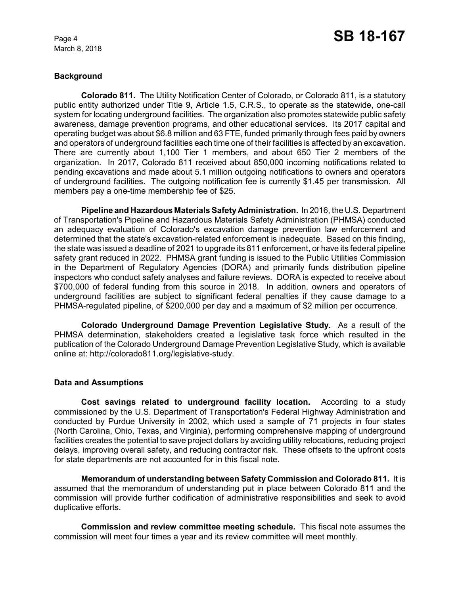# **Background**

**Colorado 811.** The Utility Notification Center of Colorado, or Colorado 811, is a statutory public entity authorized under Title 9, Article 1.5, C.R.S., to operate as the statewide, one-call system for locating underground facilities. The organization also promotes statewide public safety awareness, damage prevention programs, and other educational services. Its 2017 capital and operating budget was about \$6.8 million and 63 FTE, funded primarily through fees paid by owners and operators of underground facilities each time one of their facilities is affected by an excavation. There are currently about 1,100 Tier 1 members, and about 650 Tier 2 members of the organization. In 2017, Colorado 811 received about 850,000 incoming notifications related to pending excavations and made about 5.1 million outgoing notifications to owners and operators of underground facilities. The outgoing notification fee is currently \$1.45 per transmission. All members pay a one-time membership fee of \$25.

**Pipeline and Hazardous Materials Safety Administration.** In 2016, the U.S. Department of Transportation's Pipeline and Hazardous Materials Safety Administration (PHMSA) conducted an adequacy evaluation of Colorado's excavation damage prevention law enforcement and determined that the state's excavation-related enforcement is inadequate. Based on this finding, the state was issued a deadline of 2021 to upgrade its 811 enforcement, or have its federal pipeline safety grant reduced in 2022. PHMSA grant funding is issued to the Public Utilities Commission in the Department of Regulatory Agencies (DORA) and primarily funds distribution pipeline inspectors who conduct safety analyses and failure reviews. DORA is expected to receive about \$700,000 of federal funding from this source in 2018. In addition, owners and operators of underground facilities are subject to significant federal penalties if they cause damage to a PHMSA-regulated pipeline, of \$200,000 per day and a maximum of \$2 million per occurrence.

**Colorado Underground Damage Prevention Legislative Study.** As a result of the PHMSA determination, stakeholders created a legislative task force which resulted in the publication of the Colorado Underground Damage Prevention Legislative Study, which is available online at: http://colorado811.org/legislative-study.

## **Data and Assumptions**

**Cost savings related to underground facility location.** According to a study commissioned by the U.S. Department of Transportation's Federal Highway Administration and conducted by Purdue University in 2002, which used a sample of 71 projects in four states (North Carolina, Ohio, Texas, and Virginia), performing comprehensive mapping of underground facilities creates the potential to save project dollars by avoiding utility relocations, reducing project delays, improving overall safety, and reducing contractor risk. These offsets to the upfront costs for state departments are not accounted for in this fiscal note.

**Memorandum of understanding between Safety Commission and Colorado 811.** It is assumed that the memorandum of understanding put in place between Colorado 811 and the commission will provide further codification of administrative responsibilities and seek to avoid duplicative efforts.

**Commission and review committee meeting schedule.** This fiscal note assumes the commission will meet four times a year and its review committee will meet monthly.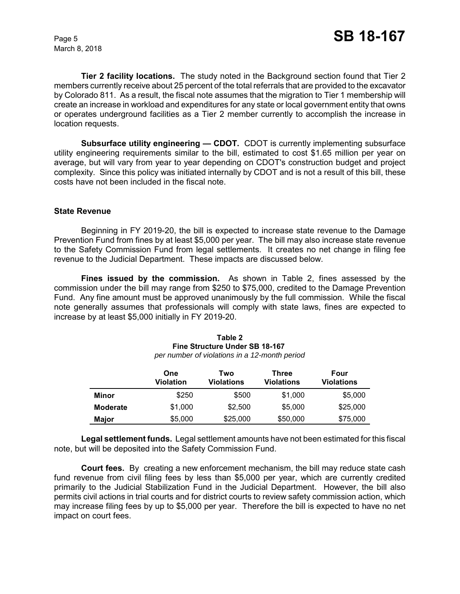**Tier 2 facility locations.** The study noted in the Background section found that Tier 2 members currently receive about 25 percent of the total referrals that are provided to the excavator by Colorado 811. As a result, the fiscal note assumes that the migration to Tier 1 membership will create an increase in workload and expenditures for any state or local government entity that owns or operates underground facilities as a Tier 2 member currently to accomplish the increase in location requests.

**Subsurface utility engineering - CDOT.** CDOT is currently implementing subsurface utility engineering requirements similar to the bill, estimated to cost \$1.65 million per year on average, but will vary from year to year depending on CDOT's construction budget and project complexity. Since this policy was initiated internally by CDOT and is not a result of this bill, these costs have not been included in the fiscal note.

#### **State Revenue**

Beginning in FY 2019-20, the bill is expected to increase state revenue to the Damage Prevention Fund from fines by at least \$5,000 per year. The bill may also increase state revenue to the Safety Commission Fund from legal settlements. It creates no net change in filing fee revenue to the Judicial Department. These impacts are discussed below.

**Fines issued by the commission.** As shown in Table 2, fines assessed by the commission under the bill may range from \$250 to \$75,000, credited to the Damage Prevention Fund. Any fine amount must be approved unanimously by the full commission. While the fiscal note generally assumes that professionals will comply with state laws, fines are expected to increase by at least \$5,000 initially in FY 2019-20.

|                 | One<br><b>Violation</b> | Two<br><b>Violations</b> | Three<br><b>Violations</b> | Four<br><b>Violations</b> |
|-----------------|-------------------------|--------------------------|----------------------------|---------------------------|
| Minor           | \$250                   | \$500                    | \$1,000                    | \$5,000                   |
| <b>Moderate</b> | \$1,000                 | \$2,500                  | \$5,000                    | \$25,000                  |
| <b>Major</b>    | \$5,000                 | \$25,000                 | \$50,000                   | \$75,000                  |

| Table 2                                       |  |  |
|-----------------------------------------------|--|--|
| <b>Fine Structure Under SB 18-167</b>         |  |  |
| per number of violations in a 12-month period |  |  |

**Legal settlement funds.** Legal settlement amounts have not been estimated for this fiscal note, but will be deposited into the Safety Commission Fund.

**Court fees.** By creating a new enforcement mechanism, the bill may reduce state cash fund revenue from civil filing fees by less than \$5,000 per year, which are currently credited primarily to the Judicial Stabilization Fund in the Judicial Department. However, the bill also permits civil actions in trial courts and for district courts to review safety commission action, which may increase filing fees by up to \$5,000 per year. Therefore the bill is expected to have no net impact on court fees.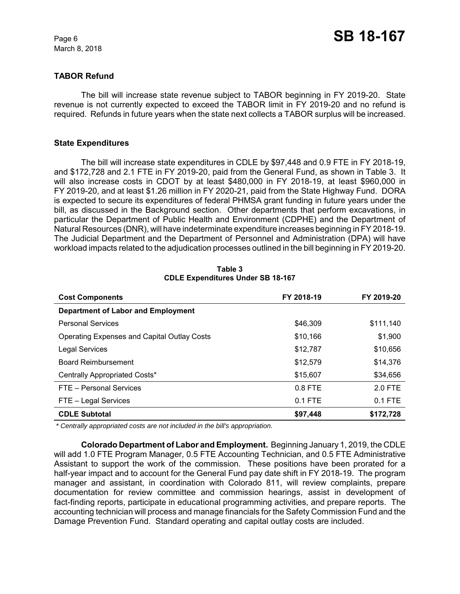## **TABOR Refund**

The bill will increase state revenue subject to TABOR beginning in FY 2019-20. State revenue is not currently expected to exceed the TABOR limit in FY 2019-20 and no refund is required. Refunds in future years when the state next collects a TABOR surplus will be increased.

### **State Expenditures**

The bill will increase state expenditures in CDLE by \$97,448 and 0.9 FTE in FY 2018-19, and \$172,728 and 2.1 FTE in FY 2019-20, paid from the General Fund, as shown in Table 3. It will also increase costs in CDOT by at least \$480,000 in FY 2018-19, at least \$960,000 in FY 2019-20, and at least \$1.26 million in FY 2020-21, paid from the State Highway Fund. DORA is expected to secure its expenditures of federal PHMSA grant funding in future years under the bill, as discussed in the Background section. Other departments that perform excavations, in particular the Department of Public Health and Environment (CDPHE) and the Department of Natural Resources (DNR), will have indeterminate expenditure increases beginning in FY 2018-19. The Judicial Department and the Department of Personnel and Administration (DPA) will have workload impacts related to the adjudication processes outlined in the bill beginning in FY 2019-20.

| <b>Cost Components</b>                             | FY 2018-19 | FY 2019-20 |
|----------------------------------------------------|------------|------------|
| <b>Department of Labor and Employment</b>          |            |            |
| <b>Personal Services</b>                           | \$46,309   | \$111,140  |
| <b>Operating Expenses and Capital Outlay Costs</b> | \$10,166   | \$1,900    |
| <b>Legal Services</b>                              | \$12,787   | \$10,656   |
| <b>Board Reimbursement</b>                         | \$12,579   | \$14,376   |
| Centrally Appropriated Costs*                      | \$15,607   | \$34,656   |
| FTE - Personal Services                            | $0.8$ FTE  | 2.0 FTE    |
| FTE - Legal Services                               | $0.1$ FTE  | $0.1$ FTE  |
| <b>CDLE Subtotal</b>                               | \$97,448   | \$172,728  |

**Table 3 CDLE Expenditures Under SB 18-167**

 *\* Centrally appropriated costs are not included in the bill's appropriation.*

**Colorado Department of Labor and Employment.** Beginning January 1, 2019, the CDLE will add 1.0 FTE Program Manager, 0.5 FTE Accounting Technician, and 0.5 FTE Administrative Assistant to support the work of the commission. These positions have been prorated for a half-year impact and to account for the General Fund pay date shift in FY 2018-19. The program manager and assistant, in coordination with Colorado 811, will review complaints, prepare documentation for review committee and commission hearings, assist in development of fact-finding reports, participate in educational programming activities, and prepare reports. The accounting technician will process and manage financials for the Safety Commission Fund and the Damage Prevention Fund. Standard operating and capital outlay costs are included.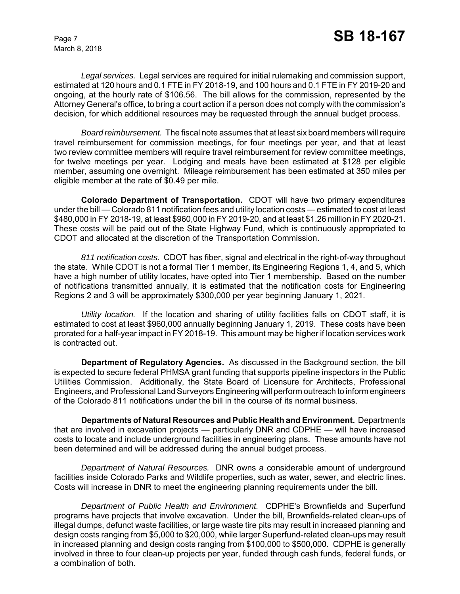*Legal services.* Legal services are required for initial rulemaking and commission support, estimated at 120 hours and 0.1 FTE in FY 2018-19, and 100 hours and 0.1 FTE in FY 2019-20 and ongoing, at the hourly rate of \$106.56. The bill allows for the commission, represented by the Attorney General's office, to bring a court action if a person does not comply with the commission's decision, for which additional resources may be requested through the annual budget process.

*Board reimbursement.* The fiscal note assumes that at least six board members will require travel reimbursement for commission meetings, for four meetings per year, and that at least two review committee members will require travel reimbursement for review committee meetings, for twelve meetings per year. Lodging and meals have been estimated at \$128 per eligible member, assuming one overnight. Mileage reimbursement has been estimated at 350 miles per eligible member at the rate of \$0.49 per mile.

**Colorado Department of Transportation.** CDOT will have two primary expenditures under the bill — Colorado 811 notification fees and utility location costs — estimated to cost at least \$480,000 in FY 2018-19, at least \$960,000 in FY 2019-20, and at least \$1.26 million in FY 2020-21. These costs will be paid out of the State Highway Fund, which is continuously appropriated to CDOT and allocated at the discretion of the Transportation Commission.

*811 notification costs.* CDOT has fiber, signal and electrical in the right-of-way throughout the state. While CDOT is not a formal Tier 1 member, its Engineering Regions 1, 4, and 5, which have a high number of utility locates, have opted into Tier 1 membership. Based on the number of notifications transmitted annually, it is estimated that the notification costs for Engineering Regions 2 and 3 will be approximately \$300,000 per year beginning January 1, 2021.

*Utility location.* If the location and sharing of utility facilities falls on CDOT staff, it is estimated to cost at least \$960,000 annually beginning January 1, 2019. These costs have been prorated for a half-year impact in FY 2018-19. This amount may be higher if location services work is contracted out.

**Department of Regulatory Agencies.** As discussed in the Background section, the bill is expected to secure federal PHMSA grant funding that supports pipeline inspectors in the Public Utilities Commission. Additionally, the State Board of Licensure for Architects, Professional Engineers, and Professional Land Surveyors Engineering will perform outreach to inform engineers of the Colorado 811 notifications under the bill in the course of its normal business.

**Departments of Natural Resources and Public Health and Environment.** Departments that are involved in excavation projects — particularly DNR and CDPHE — will have increased costs to locate and include underground facilities in engineering plans. These amounts have not been determined and will be addressed during the annual budget process.

*Department of Natural Resources.* DNR owns a considerable amount of underground facilities inside Colorado Parks and Wildlife properties, such as water, sewer, and electric lines. Costs will increase in DNR to meet the engineering planning requirements under the bill.

*Department of Public Health and Environment.* CDPHE's Brownfields and Superfund programs have projects that involve excavation. Under the bill, Brownfields-related clean-ups of illegal dumps, defunct waste facilities, or large waste tire pits may result in increased planning and design costs ranging from \$5,000 to \$20,000, while larger Superfund-related clean-ups may result in increased planning and design costs ranging from \$100,000 to \$500,000. CDPHE is generally involved in three to four clean-up projects per year, funded through cash funds, federal funds, or a combination of both.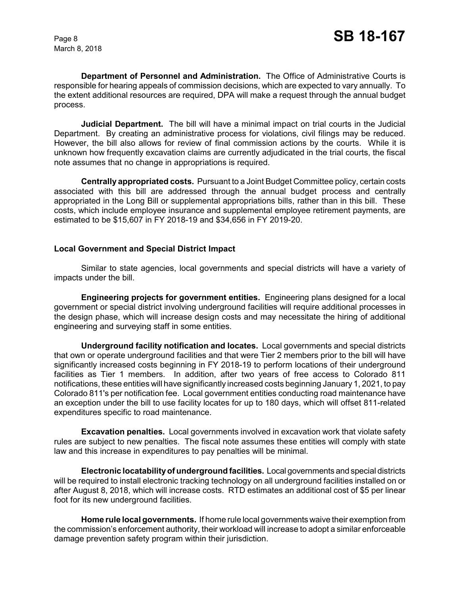**Department of Personnel and Administration.** The Office of Administrative Courts is responsible for hearing appeals of commission decisions, which are expected to vary annually. To the extent additional resources are required, DPA will make a request through the annual budget process.

**Judicial Department.** The bill will have a minimal impact on trial courts in the Judicial Department. By creating an administrative process for violations, civil filings may be reduced. However, the bill also allows for review of final commission actions by the courts. While it is unknown how frequently excavation claims are currently adjudicated in the trial courts, the fiscal note assumes that no change in appropriations is required.

**Centrally appropriated costs.** Pursuant to a Joint Budget Committee policy, certain costs associated with this bill are addressed through the annual budget process and centrally appropriated in the Long Bill or supplemental appropriations bills, rather than in this bill. These costs, which include employee insurance and supplemental employee retirement payments, are estimated to be \$15,607 in FY 2018-19 and \$34,656 in FY 2019-20.

#### **Local Government and Special District Impact**

Similar to state agencies, local governments and special districts will have a variety of impacts under the bill.

**Engineering projects for government entities.** Engineering plans designed for a local government or special district involving underground facilities will require additional processes in the design phase, which will increase design costs and may necessitate the hiring of additional engineering and surveying staff in some entities.

**Underground facility notification and locates.** Local governments and special districts that own or operate underground facilities and that were Tier 2 members prior to the bill will have significantly increased costs beginning in FY 2018-19 to perform locations of their underground facilities as Tier 1 members. In addition, after two years of free access to Colorado 811 notifications, these entities will have significantly increased costs beginning January 1, 2021, to pay Colorado 811's per notification fee. Local government entities conducting road maintenance have an exception under the bill to use facility locates for up to 180 days, which will offset 811-related expenditures specific to road maintenance.

**Excavation penalties.** Local governments involved in excavation work that violate safety rules are subject to new penalties. The fiscal note assumes these entities will comply with state law and this increase in expenditures to pay penalties will be minimal.

**Electronic locatability of underground facilities.** Local governments and special districts will be required to install electronic tracking technology on all underground facilities installed on or after August 8, 2018, which will increase costs. RTD estimates an additional cost of \$5 per linear foot for its new underground facilities.

**Home rule local governments.** If home rule local governments waive their exemption from the commission's enforcement authority, their workload will increase to adopt a similar enforceable damage prevention safety program within their jurisdiction.